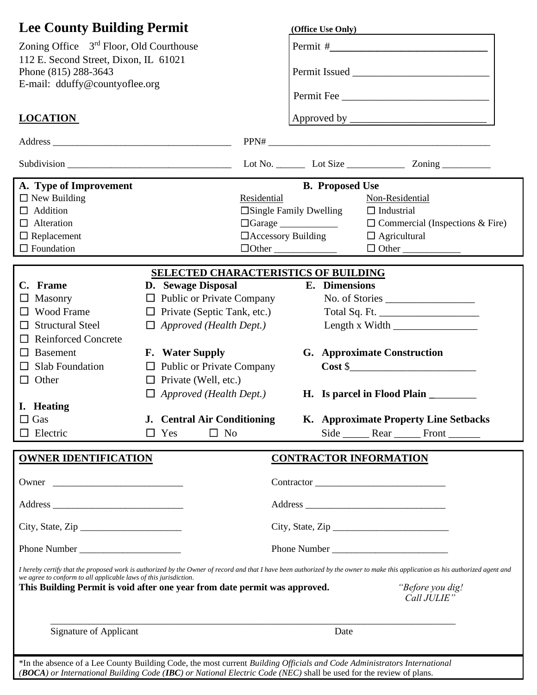## **Lee County Building Permit (Office Use Only)**

| LEE COUNTY DUNUING I CHINI                                                                                                                                                                                                                                                     |                                             |             | (Ollice Use Only)             |                                                                                                                                                                                                    |  |
|--------------------------------------------------------------------------------------------------------------------------------------------------------------------------------------------------------------------------------------------------------------------------------|---------------------------------------------|-------------|-------------------------------|----------------------------------------------------------------------------------------------------------------------------------------------------------------------------------------------------|--|
| Zoning Office 3 <sup>rd</sup> Floor, Old Courthouse<br>112 E. Second Street, Dixon, IL 61021                                                                                                                                                                                   |                                             |             |                               |                                                                                                                                                                                                    |  |
| Phone (815) 288-3643<br>E-mail: dduffy@countyoflee.org                                                                                                                                                                                                                         |                                             |             |                               |                                                                                                                                                                                                    |  |
|                                                                                                                                                                                                                                                                                |                                             |             |                               |                                                                                                                                                                                                    |  |
| <b>LOCATION</b>                                                                                                                                                                                                                                                                |                                             |             |                               |                                                                                                                                                                                                    |  |
|                                                                                                                                                                                                                                                                                |                                             |             |                               |                                                                                                                                                                                                    |  |
|                                                                                                                                                                                                                                                                                |                                             |             |                               |                                                                                                                                                                                                    |  |
| A. Type of Improvement                                                                                                                                                                                                                                                         |                                             |             | <b>B.</b> Proposed Use        |                                                                                                                                                                                                    |  |
| $\Box$ New Building                                                                                                                                                                                                                                                            |                                             | Residential |                               | Non-Residential                                                                                                                                                                                    |  |
| $\Box$ Addition                                                                                                                                                                                                                                                                |                                             |             | $\Box$ Single Family Dwelling | $\Box$ Industrial                                                                                                                                                                                  |  |
| $\Box$ Alteration                                                                                                                                                                                                                                                              |                                             |             |                               | $\Box$ Commercial (Inspections & Fire)                                                                                                                                                             |  |
| $\Box$ Replacement                                                                                                                                                                                                                                                             |                                             |             | $\Box$ Accessory Building     | $\Box$ Agricultural                                                                                                                                                                                |  |
| $\Box$ Foundation                                                                                                                                                                                                                                                              |                                             |             | $\Box$ Other                  | $\Box$ Other                                                                                                                                                                                       |  |
|                                                                                                                                                                                                                                                                                | <b>SELECTED CHARACTERISTICS OF BUILDING</b> |             |                               |                                                                                                                                                                                                    |  |
| C. Frame                                                                                                                                                                                                                                                                       | D. Sewage Disposal E. Dimensions            |             |                               |                                                                                                                                                                                                    |  |
| $\Box$ Masonry                                                                                                                                                                                                                                                                 | $\Box$ Public or Private Company            |             |                               | No. of Stories                                                                                                                                                                                     |  |
| $\Box$ Wood Frame                                                                                                                                                                                                                                                              | $\Box$ Private (Septic Tank, etc.)          |             |                               |                                                                                                                                                                                                    |  |
| $\Box$ Structural Steel                                                                                                                                                                                                                                                        | $\Box$ Approved (Health Dept.)              |             |                               | Length x Width $\_\_\_\_\_\_\_\_\_\_\_\_\_\_\_\_\_\_\_$                                                                                                                                            |  |
| <b>Reinforced Concrete</b><br>ப                                                                                                                                                                                                                                                |                                             |             |                               |                                                                                                                                                                                                    |  |
| <b>Basement</b><br>ப                                                                                                                                                                                                                                                           | F. Water Supply                             |             |                               | G. Approximate Construction                                                                                                                                                                        |  |
| $\Box$ Slab Foundation                                                                                                                                                                                                                                                         | $\Box$ Public or Private Company            |             |                               | $\csc s$                                                                                                                                                                                           |  |
| $\Box$ Other                                                                                                                                                                                                                                                                   | $\Box$ Private (Well, etc.)                 |             |                               |                                                                                                                                                                                                    |  |
|                                                                                                                                                                                                                                                                                | $\Box$ Approved (Health Dept.)              |             |                               | H. Is parcel in Flood Plain                                                                                                                                                                        |  |
| I. Heating                                                                                                                                                                                                                                                                     |                                             |             |                               |                                                                                                                                                                                                    |  |
| $\Box$ Gas                                                                                                                                                                                                                                                                     | J. Central Air Conditioning                 |             |                               | K. Approximate Property Line Setbacks                                                                                                                                                              |  |
| $\Box$ Electric                                                                                                                                                                                                                                                                | Yes<br>$\Box$ No<br>$\Box$                  |             |                               |                                                                                                                                                                                                    |  |
|                                                                                                                                                                                                                                                                                |                                             |             |                               |                                                                                                                                                                                                    |  |
| <b>OWNER IDENTIFICATION</b>                                                                                                                                                                                                                                                    |                                             |             |                               | <b>CONTRACTOR INFORMATION</b>                                                                                                                                                                      |  |
|                                                                                                                                                                                                                                                                                |                                             |             |                               | Contractor                                                                                                                                                                                         |  |
|                                                                                                                                                                                                                                                                                |                                             |             |                               |                                                                                                                                                                                                    |  |
|                                                                                                                                                                                                                                                                                | City, State, Zip                            |             |                               |                                                                                                                                                                                                    |  |
|                                                                                                                                                                                                                                                                                | Phone Number                                |             |                               |                                                                                                                                                                                                    |  |
| we agree to conform to all applicable laws of this jurisdiction.<br>This Building Permit is void after one year from date permit was approved.                                                                                                                                 |                                             |             |                               | I hereby certify that the proposed work is authorized by the Owner of record and that I have been authorized by the owner to make this application as his authorized agent and<br>"Before you dig! |  |
|                                                                                                                                                                                                                                                                                |                                             |             |                               | Call JULIE"                                                                                                                                                                                        |  |
| Signature of Applicant                                                                                                                                                                                                                                                         |                                             |             | Date                          |                                                                                                                                                                                                    |  |
|                                                                                                                                                                                                                                                                                |                                             |             |                               |                                                                                                                                                                                                    |  |
| *In the absence of a Lee County Building Code, the most current Building Officials and Code Administrators International<br>$(BOCA)$ or Let most issued $D_{12}$ . $H_{21}$ $C_2$ $A_3$ ( $(BO)$ or Mational Electric $C_3$ $A_4$ (NEC) shall be used for the section of plane |                                             |             |                               |                                                                                                                                                                                                    |  |

*(BOCA) or International Building Code (IBC) or National Electric Code (NEC)* shall be used for the review of plans.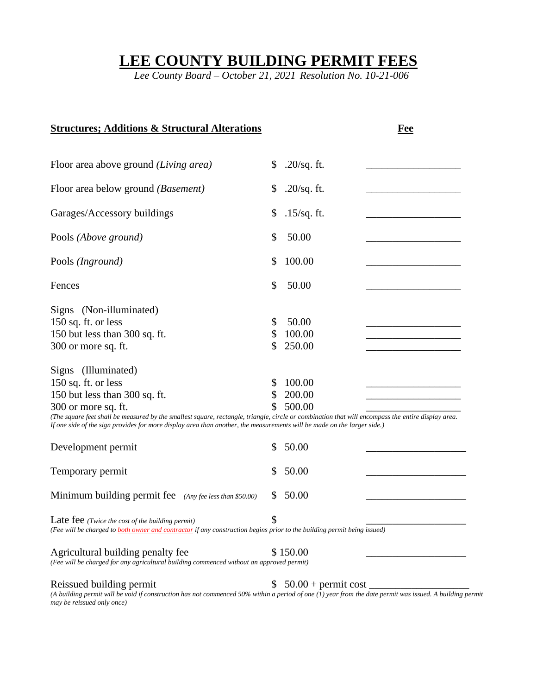### **LEE COUNTY BUILDING PERMIT FEES**

 *Lee County Board – October 21, 2021 Resolution No. 10-21-006*

| <b>Structures; Additions &amp; Structural Alterations</b>                                                                                                                                                                                                                                                                                                                           |                |                            | Fee |
|-------------------------------------------------------------------------------------------------------------------------------------------------------------------------------------------------------------------------------------------------------------------------------------------------------------------------------------------------------------------------------------|----------------|----------------------------|-----|
| Floor area above ground (Living area)                                                                                                                                                                                                                                                                                                                                               | \$             | $.20$ /sq. ft.             |     |
| Floor area below ground ( <i>Basement</i> )                                                                                                                                                                                                                                                                                                                                         |                | $.20$ /sq. ft.             |     |
| Garages/Accessory buildings                                                                                                                                                                                                                                                                                                                                                         |                | $.15$ /sq. ft.             |     |
| Pools (Above ground)                                                                                                                                                                                                                                                                                                                                                                |                | 50.00                      |     |
| Pools (Inground)                                                                                                                                                                                                                                                                                                                                                                    | \$             | 100.00                     |     |
| Fences                                                                                                                                                                                                                                                                                                                                                                              | \$             | 50.00                      |     |
| Signs (Non-illuminated)<br>150 sq. ft. or less<br>150 but less than 300 sq. ft.<br>300 or more sq. ft.                                                                                                                                                                                                                                                                              | \$<br>\$<br>\$ | 50.00<br>100.00<br>250.00  |     |
| Signs (Illuminated)<br>150 sq. ft. or less<br>150 but less than 300 sq. ft.<br>300 or more sq. ft.<br>(The square feet shall be measured by the smallest square, rectangle, triangle, circle or combination that will encompass the entire display area.<br>If one side of the sign provides for more display area than another, the measurements will be made on the larger side.) | S<br>\$<br>\$  | 100.00<br>200.00<br>500.00 |     |
| Development permit                                                                                                                                                                                                                                                                                                                                                                  | \$             | 50.00                      |     |
| Temporary permit                                                                                                                                                                                                                                                                                                                                                                    | \$             | 50.00                      |     |
| Minimum building permit fee (Any fee less than \$50.00)                                                                                                                                                                                                                                                                                                                             | \$             | 50.00                      |     |
| Late fee (Twice the cost of the building permit)<br>(Fee will be charged to both owner and contractor if any construction begins prior to the building permit being issued)                                                                                                                                                                                                         | \$             |                            |     |
| Agricultural building penalty fee<br>(Fee will be charged for any agricultural building commenced without an approved permit)                                                                                                                                                                                                                                                       |                | \$150.00                   |     |
| Reissued building permit                                                                                                                                                                                                                                                                                                                                                            | \$             | $50.00 +$ permit cost __   |     |

*(A building permit will be void if construction has not commenced 50% within a period of one (1) year from the date permit was issued. A building permit may be reissued only once)*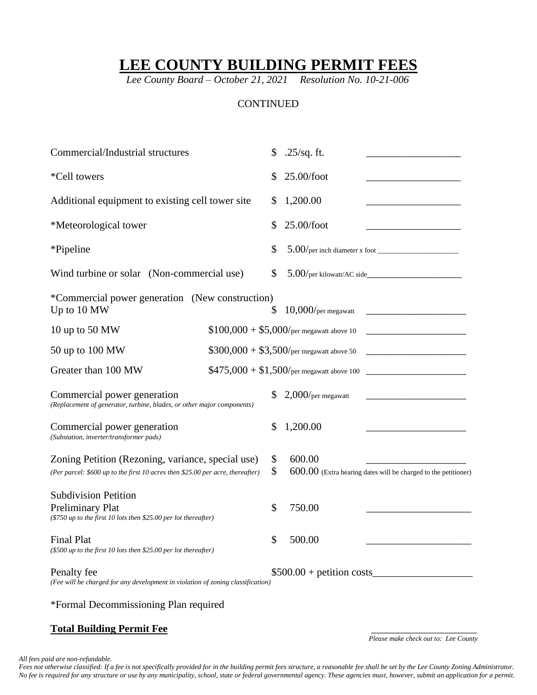# **LEE COUNTY BUILDING PERMIT FEES**

 *Lee County Board – October 21, 2021 Resolution No. 10-21-006*

#### **CONTINUED**

| Commercial/Industrial structures                                                                                                    |          | $.25$ /sq. ft.                                                                                      |
|-------------------------------------------------------------------------------------------------------------------------------------|----------|-----------------------------------------------------------------------------------------------------|
| *Cell towers                                                                                                                        |          | $25.00$ /foot                                                                                       |
| Additional equipment to existing cell tower site                                                                                    | S        | 1,200.00                                                                                            |
| *Meteorological tower                                                                                                               |          | $25.00$ /foot                                                                                       |
| *Pipeline                                                                                                                           | \$       |                                                                                                     |
| Wind turbine or solar (Non-commercial use)                                                                                          | \$       |                                                                                                     |
| *Commercial power generation (New construction)<br>Up to 10 MW                                                                      | S        | $10,000$ /per megawatt<br><u> 1989 - Johann Barbara, martxa alemani</u> ar a                        |
| 10 up to 50 $MW$                                                                                                                    |          | $$100,000 + $5,000$ /per megawatt above 10                                                          |
| 50 up to 100 MW                                                                                                                     |          | $$300,000 + $3,500/$ per megawatt above 50<br><u> 1989 - Johann Barbara, martxa alemaniar a</u>     |
| Greater than 100 MW                                                                                                                 |          | $$475,000 + $1,500/$ per megawatt above 100<br><u> 1999 - Johann Barbara, martin a</u>              |
| Commercial power generation<br>(Replacement of generator, turbine, blades, or other major components)                               | S        | $2,000$ /per megawatt<br>the control of the control of the control of the control of the control of |
| Commercial power generation<br>(Substation, inverter/transformer pads)                                                              | \$       | 1,200.00                                                                                            |
| Zoning Petition (Rezoning, variance, special use)<br>(Per parcel: \$600 up to the first 10 acres then \$25.00 per acre, thereafter) | \$<br>\$ | 600.00<br>600.00 (Extra hearing dates will be charged to the petitioner)                            |
| <b>Subdivision Petition</b><br><b>Preliminary Plat</b><br>(\$750 up to the first 10 lots then \$25.00 per lot thereafter)           | \$       | 750.00                                                                                              |
| <b>Final Plat</b><br>(\$500 up to the first 10 lots then \$25.00 per lot thereafter)                                                | \$       | 500.00                                                                                              |
| Penalty fee<br>(Fee will be charged for any development in violation of zoning classification)                                      |          | $$500.00 + \text{petition costs}$                                                                   |
| *Formal Decommissioning Plan required                                                                                               |          |                                                                                                     |

### **Total Building Permit Fee** \_\_\_\_\_\_\_\_\_\_\_\_\_\_\_\_\_\_\_\_

 *Please make check out to: Lee County*

*All fees paid are non-refundable.* 

*Fees not otherwise classified: If a fee is not specifically provided for in the building permit fees structure, a reasonable fee shall be set by the Lee County Zoning Administrator. No fee is required for any structure or use by any municipality, school, state or federal governmental agency. These agencies must, however, submit an application for a permit.*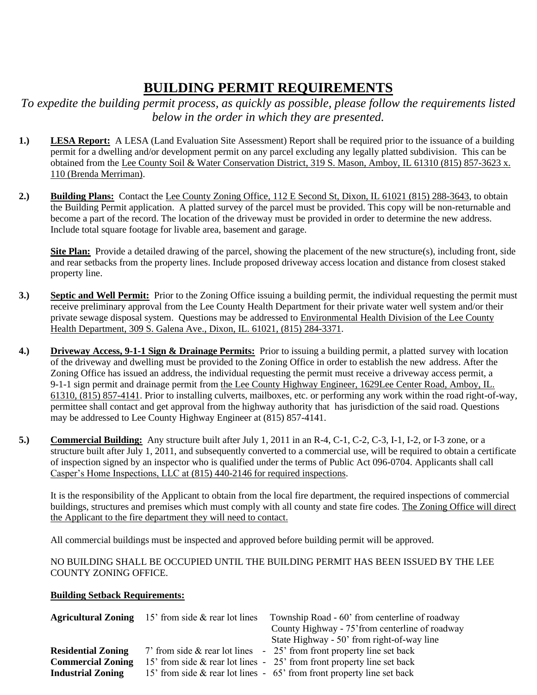### **BUILDING PERMIT REQUIREMENTS**

*To expedite the building permit process, as quickly as possible, please follow the requirements listed below in the order in which they are presented.*

- **1.) LESA Report:** A LESA (Land Evaluation Site Assessment) Report shall be required prior to the issuance of a building permit for a dwelling and/or development permit on any parcel excluding any legally platted subdivision. This can be obtained from the Lee County Soil & Water Conservation District, 319 S. Mason, Amboy, IL 61310 (815) 857-3623 x. 110 (Brenda Merriman).
- **2.) Building Plans:** Contact the Lee County Zoning Office, 112 E Second St, Dixon, IL 61021 (815) 288-3643, to obtain the Building Permit application. A platted survey of the parcel must be provided. This copy will be non-returnable and become a part of the record. The location of the driveway must be provided in order to determine the new address. Include total square footage for livable area, basement and garage.

**Site Plan:** Provide a detailed drawing of the parcel, showing the placement of the new structure(s), including front, side and rear setbacks from the property lines. Include proposed driveway access location and distance from closest staked property line.

- **3.) Septic and Well Permit:** Prior to the Zoning Office issuing a building permit, the individual requesting the permit must receive preliminary approval from the Lee County Health Department for their private water well system and/or their private sewage disposal system. Questions may be addressed to Environmental Health Division of the Lee County Health Department, 309 S. Galena Ave., Dixon, IL. 61021, (815) 284-3371.
- **4.) Driveway Access, 9-1-1 Sign & Drainage Permits:** Prior to issuing a building permit, a platted survey with location of the driveway and dwelling must be provided to the Zoning Office in order to establish the new address. After the Zoning Office has issued an address, the individual requesting the permit must receive a driveway access permit, a 9-1-1 sign permit and drainage permit from the Lee County Highway Engineer, 1629Lee Center Road, Amboy, IL. 61310, (815) 857-4141. Prior to installing culverts, mailboxes, etc. or performing any work within the road right-of-way, permittee shall contact and get approval from the highway authority that has jurisdiction of the said road. Questions may be addressed to Lee County Highway Engineer at (815) 857-4141.
- **5.) Commercial Building:** Any structure built after July 1, 2011 in an R-4, C-1, C-2, C-3, I-1, I-2, or I-3 zone, or a structure built after July 1, 2011, and subsequently converted to a commercial use, will be required to obtain a certificate of inspection signed by an inspector who is qualified under the terms of Public Act 096-0704. Applicants shall call Casper's Home Inspections, LLC at (815) 440-2146 for required inspections.

It is the responsibility of the Applicant to obtain from the local fire department, the required inspections of commercial buildings, structures and premises which must comply with all county and state fire codes. The Zoning Office will direct the Applicant to the fire department they will need to contact.

All commercial buildings must be inspected and approved before building permit will be approved.

NO BUILDING SHALL BE OCCUPIED UNTIL THE BUILDING PERMIT HAS BEEN ISSUED BY THE LEE COUNTY ZONING OFFICE.

#### **Building Setback Requirements:**

|                           | <b>Agricultural Zoning</b> 15' from side $\&$ rear lot lines | Township Road - 60' from centerline of roadway                          |
|---------------------------|--------------------------------------------------------------|-------------------------------------------------------------------------|
|                           |                                                              | County Highway - 75' from centerline of roadway                         |
|                           |                                                              | State Highway - 50' from right-of-way line                              |
| <b>Residential Zoning</b> |                                                              | 7' from side $&$ rear lot lines - 25' from front property line set back |
| <b>Commercial Zoning</b>  |                                                              | 15' from side & rear lot lines - 25' from front property line set back  |
| <b>Industrial Zoning</b>  |                                                              | 15' from side & rear lot lines - 65' from front property line set back  |